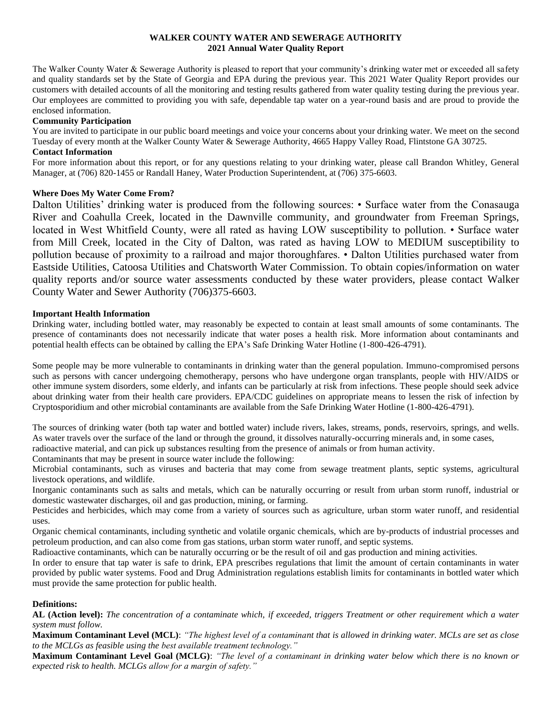# **WALKER COUNTY WATER AND SEWERAGE AUTHORITY 2021 Annual Water Quality Report**

The Walker County Water & Sewerage Authority is pleased to report that your community's drinking water met or exceeded all safety and quality standards set by the State of Georgia and EPA during the previous year. This 2021 Water Quality Report provides our customers with detailed accounts of all the monitoring and testing results gathered from water quality testing during the previous year. Our employees are committed to providing you with safe, dependable tap water on a year-round basis and are proud to provide the enclosed information.

# **Community Participation**

You are invited to participate in our public board meetings and voice your concerns about your drinking water. We meet on the second Tuesday of every month at the Walker County Water & Sewerage Authority, 4665 Happy Valley Road, Flintstone GA 30725. **Contact Information**

For more information about this report, or for any questions relating to your drinking water, please call Brandon Whitley, General Manager, at (706) 820-1455 or Randall Haney, Water Production Superintendent, at (706) 375-6603.

# **Where Does My Water Come From?**

Dalton Utilities' drinking water is produced from the following sources: • Surface water from the Conasauga River and Coahulla Creek, located in the Dawnville community, and groundwater from Freeman Springs, located in West Whitfield County, were all rated as having LOW susceptibility to pollution. • Surface water from Mill Creek, located in the City of Dalton, was rated as having LOW to MEDIUM susceptibility to pollution because of proximity to a railroad and major thoroughfares. • Dalton Utilities purchased water from Eastside Utilities, Catoosa Utilities and Chatsworth Water Commission. To obtain copies/information on water quality reports and/or source water assessments conducted by these water providers, please contact Walker County Water and Sewer Authority (706)375-6603.

# **Important Health Information**

Drinking water, including bottled water, may reasonably be expected to contain at least small amounts of some contaminants. The presence of contaminants does not necessarily indicate that water poses a health risk. More information about contaminants and potential health effects can be obtained by calling the EPA's Safe Drinking Water Hotline (1-800-426-4791).

Some people may be more vulnerable to contaminants in drinking water than the general population. Immuno-compromised persons such as persons with cancer undergoing chemotherapy, persons who have undergone organ transplants, people with HIV/AIDS or other immune system disorders, some elderly, and infants can be particularly at risk from infections. These people should seek advice about drinking water from their health care providers. EPA/CDC guidelines on appropriate means to lessen the risk of infection by Cryptosporidium and other microbial contaminants are available from the Safe Drinking Water Hotline (1-800-426-4791).

The sources of drinking water (both tap water and bottled water) include rivers, lakes, streams, ponds, reservoirs, springs, and wells. As water travels over the surface of the land or through the ground, it dissolves naturally-occurring minerals and, in some cases,

radioactive material, and can pick up substances resulting from the presence of animals or from human activity.

Contaminants that may be present in source water include the following:

Microbial contaminants, such as viruses and bacteria that may come from sewage treatment plants, septic systems, agricultural livestock operations, and wildlife.

Inorganic contaminants such as salts and metals, which can be naturally occurring or result from urban storm runoff, industrial or domestic wastewater discharges, oil and gas production, mining, or farming.

Pesticides and herbicides, which may come from a variety of sources such as agriculture, urban storm water runoff, and residential uses.

Organic chemical contaminants, including synthetic and volatile organic chemicals, which are by-products of industrial processes and petroleum production, and can also come from gas stations, urban storm water runoff, and septic systems.

Radioactive contaminants, which can be naturally occurring or be the result of oil and gas production and mining activities.

In order to ensure that tap water is safe to drink, EPA prescribes regulations that limit the amount of certain contaminants in water provided by public water systems. Food and Drug Administration regulations establish limits for contaminants in bottled water which must provide the same protection for public health.

### **Definitions:**

**AL (Action level):** *The concentration of a contaminate which, if exceeded, triggers Treatment or other requirement which a water system must follow.*

**Maximum Contaminant Level (MCL)**: *"The highest level of a contaminant that is allowed in drinking water. MCLs are set as close to the MCLGs as feasible using the best available treatment technology."*

**Maximum Contaminant Level Goal (MCLG)**: *"The level of a contaminant in drinking water below which there is no known or expected risk to health. MCLGs allow for a margin of safety."*